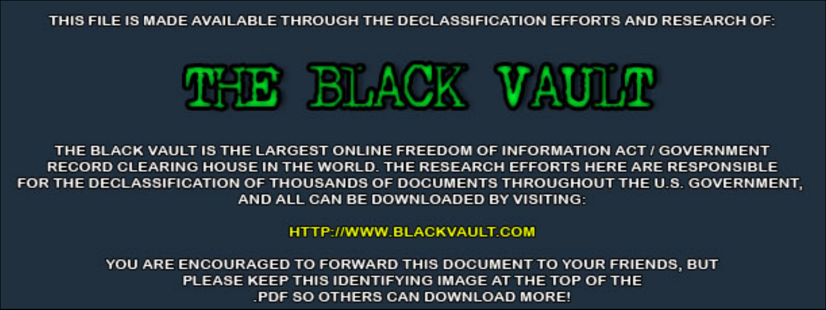THIS FILE IS MADE AVAILABLE THROUGH THE DECLASSIFICATION EFFORTS AND RESEARCH OF:



THE BLACK VAULT IS THE LARGEST ONLINE FREEDOM OF INFORMATION ACT / GOVERNMENT RECORD CLEARING HOUSE IN THE WORLD. THE RESEARCH EFFORTS HERE ARE RESPONSIBLE FOR THE DECLASSIFICATION OF THOUSANDS OF DOCUMENTS THROUGHOUT THE U.S. GOVERNMENT, AND ALL CAN BE DOWNLOADED BY VISITING:

**HTTP://WWW.BLACKVAULT.COM** 

YOU ARE ENCOURAGED TO FORWARD THIS DOCUMENT TO YOUR FRIENDS, BUT PLEASE KEEP THIS IDENTIFYING IMAGE AT THE TOP OF THE PDF SO OTHERS CAN DOWNLOAD MORE!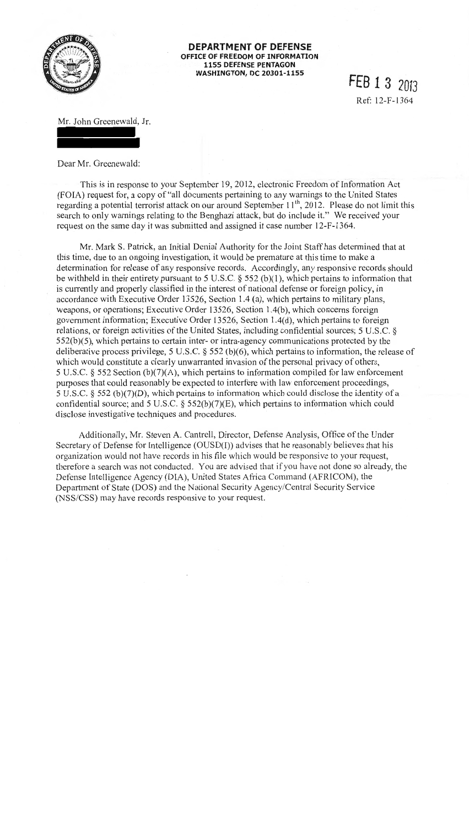

## **DEPARTMENT OF DEFENSE OFFICE OF FREEDOM OF INFORMATION 1155 DEFENSE PENTAGON WASHINGTON, DC 20301-1155**

*FEB* **1 3 <sup>2013</sup>** Ref: 12-F- 1364

Mr. John Greenewald, Jr.

Dear Mr. Greenewald:

This is in response to your September 19, 2012, electronic Freedom of Information Act (FOIA) request for, a copy of"all documents pertaining to any warnings to the United States regarding a potential terrorist attack on our around September 11<sup>th</sup>, 2012. Please do not limit this search to only warnings relating to the Benghazi attack, but do include it." We received your request on the same day it was submitted and assigned it case number 12-F -1364.

Mr. Mark S. Patrick, an Initial Denial Authority for the Joint Staff has determined that at this time, due to an ongoing investigation, it would be premature at this time to make a determination for release of any responsive records. Accordingly, any responsive records should be withheld in their entirety pursuant to 5 U.S.C.  $\S$  552 (b)(1), which pertains to information that is currently and properly classified in the interest of national defense or foreign policy, in accordance with Executive Order 13526, Section 1.4 (a), which pertains to military plans, weapons, or operations; Executive Order 13526, Section 1.4(b), which concerns foreign government infonnation; Executive Order 13526, Section 1.4( d), which pertains to foreign relations, or foreign activities of the United States, including confidential sources; 5 U.S.C. § 552(b)(5), which pertains to certain inter- or intra-agency communications protected by the deliberative process privilege, 5 U.S.C. § 552 (b)(6), which pertains to infonnation, the release of which would constitute a clearly unwarranted invasion of the personal privacy of others, 5 U.S.C. § 552 Section (b)(7)(A), which pertains to infonnation compiled for law enforcement purposes that could reasonably be expected to interfere with law enforcement proceedings, 5 U.S.C. § 552 (b )(7)(D), which pertains to information which could disclose the identity of a confidential source; and 5 U.S.C.  $\S$  552(b)(7)(E), which pertains to information which could disclose investigative techniques and procedures.

Additionally, Mr. Steven A. Cantrell, Director, Defense Analysis, Oftice of the Under Secretary of Defense for Intelligence (OUSD(I)) advises that he reasonably believes that his organization would not have records in his file which would be responsive to your request, therefore a search was not conducted. You are advised that if you have not done so already, the Defense Intelligence Agency (DIA), United States Africa Command (AFRICOM), the Depatiment of State (DOS) and the National Security Agency/Central Security Service (NSS/CSS) may have records responsive to your request.